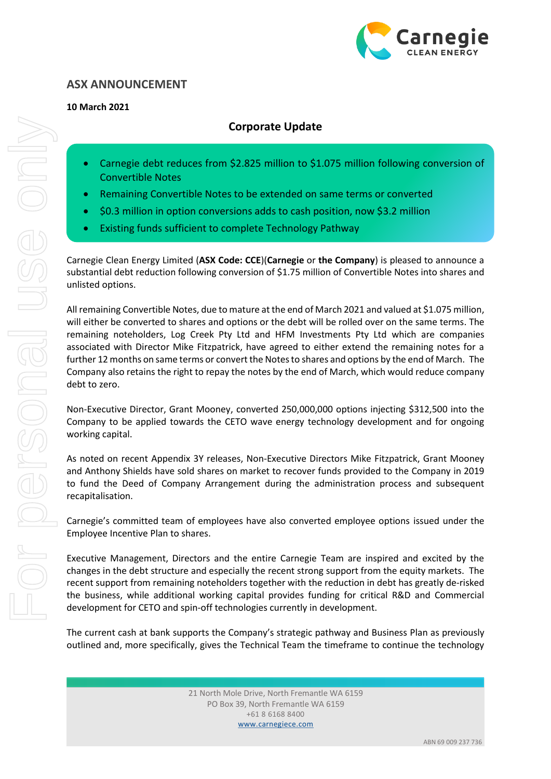

## **ASX ANNOUNCEMENT**

## **10 March 2021**

## **Corporate Update**

- Carnegie debt reduces from \$2.825 million to \$1.075 million following conversion of Convertible Notes
- Remaining Convertible Notes to be extended on same terms or converted
- \$0.3 million in option conversions adds to cash position, now \$3.2 million
- Existing funds sufficient to complete Technology Pathway

Carnegie Clean Energy Limited (**ASX Code: CCE**)(**Carnegie** or **the Company**) is pleased to announce a substantial debt reduction following conversion of \$1.75 million of Convertible Notes into shares and unlisted options.

All remaining Convertible Notes, due to mature at the end of March 2021 and valued at \$1.075 million, will either be converted to shares and options or the debt will be rolled over on the same terms. The remaining noteholders, Log Creek Pty Ltd and HFM Investments Pty Ltd which are companies associated with Director Mike Fitzpatrick, have agreed to either extend the remaining notes for a further 12 months on same terms or convert the Notes to shares and options by the end of March. The Company also retains the right to repay the notes by the end of March, which would reduce company debt to zero.

Non-Executive Director, Grant Mooney, converted 250,000,000 options injecting \$312,500 into the Company to be applied towards the CETO wave energy technology development and for ongoing working capital.

As noted on recent Appendix 3Y releases, Non-Executive Directors Mike Fitzpatrick, Grant Mooney and Anthony Shields have sold shares on market to recover funds provided to the Company in 2019 to fund the Deed of Company Arrangement during the administration process and subsequent recapitalisation.

Carnegie's committed team of employees have also converted employee options issued under the Employee Incentive Plan to shares.

Executive Management, Directors and the entire Carnegie Team are inspired and excited by the changes in the debt structure and especially the recent strong support from the equity markets. The recent support from remaining noteholders together with the reduction in debt has greatly de-risked the business, while additional working capital provides funding for critical R&D and Commercial development for CETO and spin-off technologies currently in development.

The current cash at bank supports the Company's strategic pathway and Business Plan as previously outlined and, more specifically, gives the Technical Team the timeframe to continue the technology

> 21 North Mole Drive, North Fremantle WA 6159 PO Box 39, North Fremantle WA 6159 +61 8 6168 8400 www.carnegiece.com